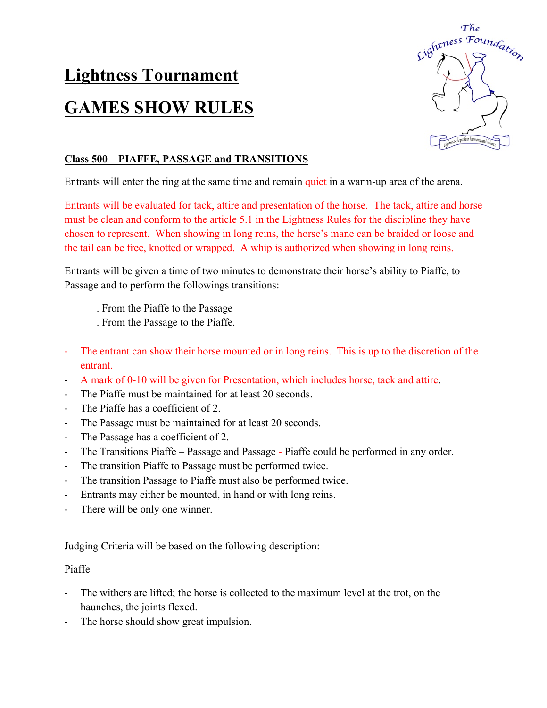# **Lightness Tournament GAMES SHOW RULES**



## **Class 500 – PIAFFE, PASSAGE and TRANSITIONS**

Entrants will enter the ring at the same time and remain quiet in a warm-up area of the arena.

Entrants will be evaluated for tack, attire and presentation of the horse. The tack, attire and horse must be clean and conform to the article 5.1 in the Lightness Rules for the discipline they have chosen to represent. When showing in long reins, the horse's mane can be braided or loose and the tail can be free, knotted or wrapped. A whip is authorized when showing in long reins.

Entrants will be given a time of two minutes to demonstrate their horse's ability to Piaffe, to Passage and to perform the followings transitions:

- . From the Piaffe to the Passage
- . From the Passage to the Piaffe.
- The entrant can show their horse mounted or in long reins. This is up to the discretion of the entrant.
- A mark of 0-10 will be given for Presentation, which includes horse, tack and attire.
- The Piaffe must be maintained for at least 20 seconds.
- The Piaffe has a coefficient of 2.
- The Passage must be maintained for at least 20 seconds.
- The Passage has a coefficient of 2.
- The Transitions Piaffe Passage and Passage Piaffe could be performed in any order.
- The transition Piaffe to Passage must be performed twice.
- The transition Passage to Piaffe must also be performed twice.
- Entrants may either be mounted, in hand or with long reins.
- There will be only one winner.

Judging Criteria will be based on the following description:

#### Piaffe

- The withers are lifted; the horse is collected to the maximum level at the trot, on the haunches, the joints flexed.
- The horse should show great impulsion.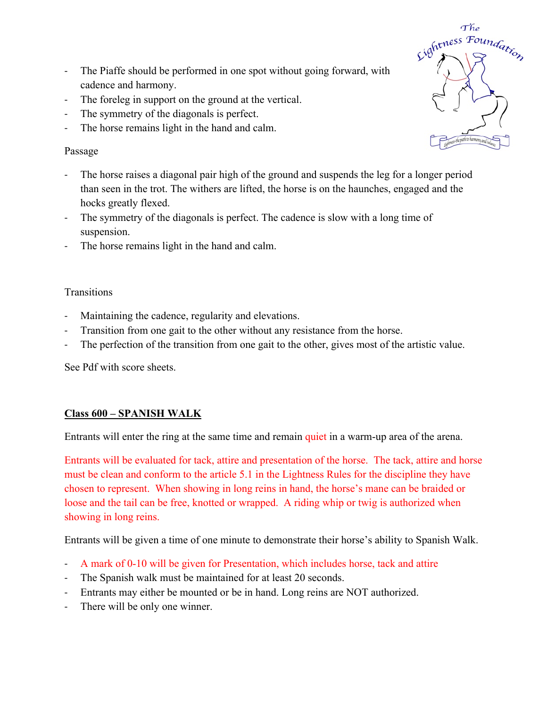- The Piaffe should be performed in one spot without going forward, with cadence and harmony.
- The foreleg in support on the ground at the vertical.
- The symmetry of the diagonals is perfect.
- The horse remains light in the hand and calm.

#### Passage

- The horse raises a diagonal pair high of the ground and suspends the leg for a longer period than seen in the trot. The withers are lifted, the horse is on the haunches, engaged and the hocks greatly flexed.
- The symmetry of the diagonals is perfect. The cadence is slow with a long time of suspension.
- The horse remains light in the hand and calm.

### **Transitions**

- Maintaining the cadence, regularity and elevations.
- Transition from one gait to the other without any resistance from the horse.
- The perfection of the transition from one gait to the other, gives most of the artistic value.

See Pdf with score sheets.

### **Class 600 – SPANISH WALK**

Entrants will enter the ring at the same time and remain quiet in a warm-up area of the arena.

Entrants will be evaluated for tack, attire and presentation of the horse. The tack, attire and horse must be clean and conform to the article 5.1 in the Lightness Rules for the discipline they have chosen to represent. When showing in long reins in hand, the horse's mane can be braided or loose and the tail can be free, knotted or wrapped. A riding whip or twig is authorized when showing in long reins.

Entrants will be given a time of one minute to demonstrate their horse's ability to Spanish Walk.

- A mark of 0-10 will be given for Presentation, which includes horse, tack and attire
- The Spanish walk must be maintained for at least 20 seconds.
- Entrants may either be mounted or be in hand. Long reins are NOT authorized.
- There will be only one winner.